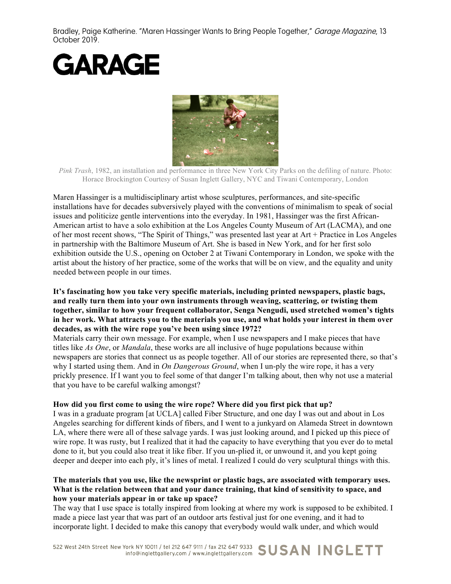**GARAGE** 



*Pink Trash*, 1982, an installation and performance in three New York City Parks on the defiling of nature. Photo: Horace Brockington Courtesy of Susan Inglett Gallery, NYC and Tiwani Contemporary, London

Maren Hassinger is a multidisciplinary artist whose sculptures, performances, and site-specific installations have for decades subversively played with the conventions of minimalism to speak of social issues and politicize gentle interventions into the everyday. In 1981, Hassinger was the first African-American artist to have a solo exhibition at the Los Angeles County Museum of Art (LACMA), and one of her most recent shows, "The Spirit of Things," was presented last year at Art + Practice in Los Angeles in partnership with the Baltimore Museum of Art. She is based in New York, and for her first solo exhibition outside the U.S., opening on October 2 at Tiwani Contemporary in London, we spoke with the artist about the history of her practice, some of the works that will be on view, and the equality and unity needed between people in our times.

# **It's fascinating how you take very specific materials, including printed newspapers, plastic bags, and really turn them into your own instruments through weaving, scattering, or twisting them together, similar to how your frequent collaborator, Senga Nengudi, used stretched women's tights in her work. What attracts you to the materials you use, and what holds your interest in them over decades, as with the wire rope you've been using since 1972?**

Materials carry their own message. For example, when I use newspapers and I make pieces that have titles like *As One*, or *Mandala*, these works are all inclusive of huge populations because within newspapers are stories that connect us as people together. All of our stories are represented there, so that's why I started using them. And in *On Dangerous Ground*, when I un-ply the wire rope, it has a very prickly presence. If I want you to feel some of that danger I'm talking about, then why not use a material that you have to be careful walking amongst?

## **How did you first come to using the wire rope? Where did you first pick that up?**

I was in a graduate program [at UCLA] called Fiber Structure, and one day I was out and about in Los Angeles searching for different kinds of fibers, and I went to a junkyard on Alameda Street in downtown LA, where there were all of these salvage yards. I was just looking around, and I picked up this piece of wire rope. It was rusty, but I realized that it had the capacity to have everything that you ever do to metal done to it, but you could also treat it like fiber. If you un-plied it, or unwound it, and you kept going deeper and deeper into each ply, it's lines of metal. I realized I could do very sculptural things with this.

### **The materials that you use, like the newsprint or plastic bags, are associated with temporary uses. What is the relation between that and your dance training, that kind of sensitivity to space, and how your materials appear in or take up space?**

The way that I use space is totally inspired from looking at where my work is supposed to be exhibited. I made a piece last year that was part of an outdoor arts festival just for one evening, and it had to incorporate light. I decided to make this canopy that everybody would walk under, and which would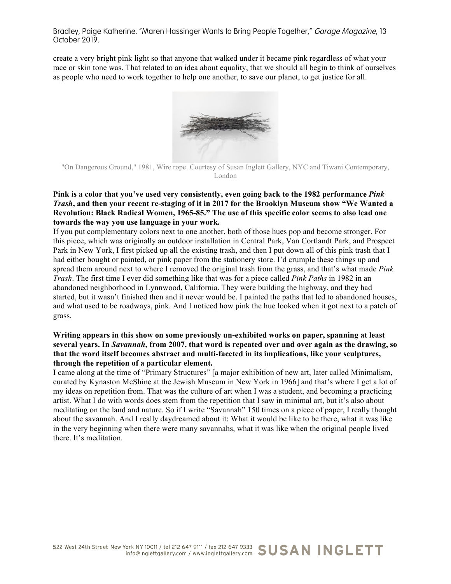create a very bright pink light so that anyone that walked under it became pink regardless of what your race or skin tone was. That related to an idea about equality, that we should all begin to think of ourselves as people who need to work together to help one another, to save our planet, to get justice for all.



"On Dangerous Ground," 1981, Wire rope. Courtesy of Susan Inglett Gallery, NYC and Tiwani Contemporary, London

# **Pink is a color that you've used very consistently, even going back to the 1982 performance** *Pink Trash***, and then your recent re-staging of it in 2017 for the Brooklyn Museum show "We Wanted a Revolution: Black Radical Women, 1965-85." The use of this specific color seems to also lead one towards the way you use language in your work.**

If you put complementary colors next to one another, both of those hues pop and become stronger. For this piece, which was originally an outdoor installation in Central Park, Van Cortlandt Park, and Prospect Park in New York, I first picked up all the existing trash, and then I put down all of this pink trash that I had either bought or painted, or pink paper from the stationery store. I'd crumple these things up and spread them around next to where I removed the original trash from the grass, and that's what made *Pink Trash*. The first time I ever did something like that was for a piece called *Pink Paths* in 1982 in an abandoned neighborhood in Lynnwood, California. They were building the highway, and they had started, but it wasn't finished then and it never would be. I painted the paths that led to abandoned houses, and what used to be roadways, pink. And I noticed how pink the hue looked when it got next to a patch of grass.

## **Writing appears in this show on some previously un-exhibited works on paper, spanning at least several years. In** *Savannah***, from 2007, that word is repeated over and over again as the drawing, so that the word itself becomes abstract and multi-faceted in its implications, like your sculptures, through the repetition of a particular element.**

I came along at the time of "Primary Structures" [a major exhibition of new art, later called Minimalism, curated by Kynaston McShine at the Jewish Museum in New York in 1966] and that's where I get a lot of my ideas on repetition from. That was the culture of art when I was a student, and becoming a practicing artist. What I do with words does stem from the repetition that I saw in minimal art, but it's also about meditating on the land and nature. So if I write "Savannah" 150 times on a piece of paper, I really thought about the savannah. And I really daydreamed about it: What it would be like to be there, what it was like in the very beginning when there were many savannahs, what it was like when the original people lived there. It's meditation.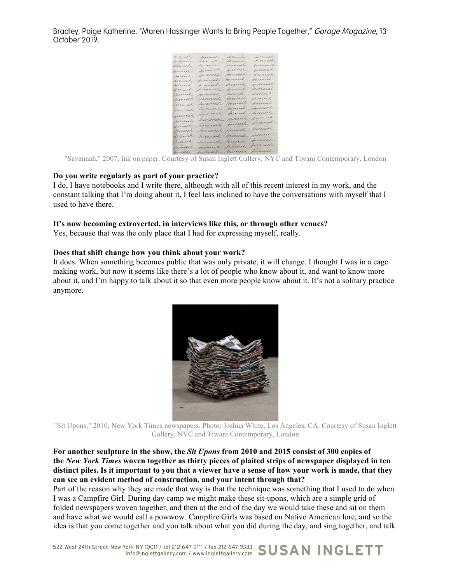| hvannah   | Savannah          | Savannah  | Samarah   |
|-----------|-------------------|-----------|-----------|
| avancah   | Savanneh          | taracach  | tavannah  |
| burnnah   | Savannah          | barnnock  | favranch  |
| warrent   | Savannah          | fervanaah | favances  |
| ervannah  | favannah          | Savannah  | Savannah  |
| wancah    | Sarragah          | famarah   | Savannah  |
| bararach. | Savannah          | favannah  | favornaak |
| favannah  | favornah          | Savanaah  | tavannah  |
| formanah  | forvanaah         | Savanna   | Auvannah  |
| Sararock  | Savannah          | favannah  | Sarannah  |
| avannah   | favannah          | Sowaarch  | tamarah   |
| favannah  | Savannah          | Savanach  | Savannah  |
| favannah  | Sammal            | Savannah  | Savannah  |
|           | favarrah          | favanah   | Savannah  |
| favanah   | favarrack         | forward   | Surannah  |
| bevaroch  |                   |           | towanach  |
| favannah  | Savannah          | fromal    | Spranned  |
| thornach  | Savannah          | Invannad  |           |
| barranch  | Savannah Savanna  |           | Savannah  |
| favannad  | Auvanal Anvance   |           | forvanaal |
| turnwad   | Surannah favourel |           | Savannad  |
|           |                   |           |           |

"Savannah," 2007, Ink on paper. Courtesy of Susan Inglett Gallery, NYC and Tiwani Contemporary, London

#### **Do you write regularly as part of your practice?**

I do, I have notebooks and I write there, although with all of this recent interest in my work, and the constant talking that I'm doing about it, I feel less inclined to have the conversations with myself that I used to have there.

### **It's now becoming extroverted, in interviews like this, or through other venues?**

Yes, because that was the only place that I had for expressing myself, really.

#### **Does that shift change how you think about your work?**

It does. When something becomes public that was only private, it will change. I thought I was in a cage making work, but now it seems like there's a lot of people who know about it, and want to know more about it, and I'm happy to talk about it so that even more people know about it. It's not a solitary practice anymore.



"Sit Upons," 2010, New York Times newspapers. Photo: Joshua White, Los Angeles, CA. Courtesy of Susan Inglett Gallery, NYC and Tiwani Contemporary, London

# **For another sculpture in the show, the** *Sit Upons* **from 2010 and 2015 consist of 300 copies of the** *New York Times* **woven together as thirty pieces of plaited strips of newspaper displayed in ten distinct piles. Is it important to you that a viewer have a sense of how your work is made, that they can see an evident method of construction, and your intent through that?**

Part of the reason why they are made that way is that the technique was something that I used to do when I was a Campfire Girl. During day camp we might make these sit-upons, which are a simple grid of folded newspapers woven together, and then at the end of the day we would take these and sit on them and have what we would call a powwow. Campfire Girls was based on Native American lore, and so the idea is that you come together and you talk about what you did during the day, and sing together, and talk